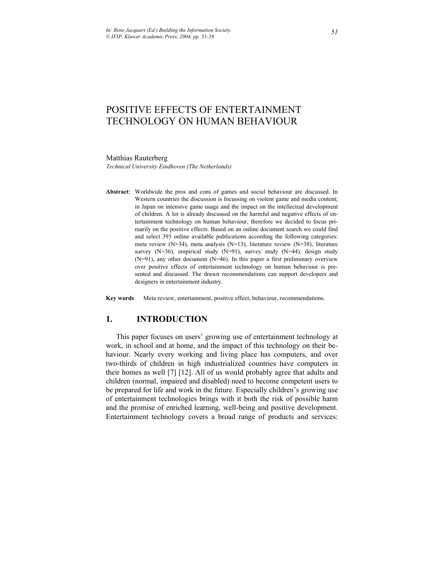# POSITIVE EFFECTS OF ENTERTAINMENT TECHNOLOGY ON HUMAN BEHAVIOUR

#### Matthias Rauterberg

*Technical University Eindhoven (The Netherlands)* 

**Abstract**: Worldwide the pros and cons of games and social behaviour are discussed. In Western countries the discussion is focussing on violent game and media content; in Japan on intensive game usage and the impact on the intellectual development of children. A lot is already discussed on the harmful and negative effects of entertainment technology on human behaviour, therefore we decided to focus primarily on the positive effects. Based on an online document search we could find and select 393 online available publications according the following categories: meta review (N=34), meta analysis (N=13), literature review (N=38), literature survey (N=36), empirical study (N=91), survey study (N=44), design study (N=91), any other document (N=46). In this paper a first preliminary overview over positive effects of entertainment technology on human behaviour is presented and discussed. The drawn recommendations can support developers and designers in entertainment industry.

**Key words**: Meta review, entertainment, positive effect, behaviour, recommendations.

# **1. INTRODUCTION**

This paper focuses on users' growing use of entertainment technology at work, in school and at home, and the impact of this technology on their behaviour. Nearly every working and living place has computers, and over two-thirds of children in high industrialized countries have computers in their homes as well [7] [12]. All of us would probably agree that adults and children (normal, impaired and disabled) need to become competent users to be prepared for life and work in the future. Especially children's growing use of entertainment technologies brings with it both the risk of possible harm and the promise of enriched learning, well-being and positive development. Entertainment technology covers a broad range of products and services: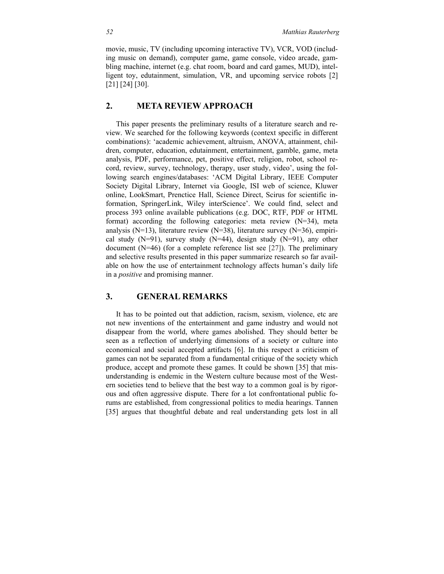movie, music, TV (including upcoming interactive TV), VCR, VOD (including music on demand), computer game, game console, video arcade, gambling machine, internet (e.g. chat room, board and card games, MUD), intelligent toy, edutainment, simulation, VR, and upcoming service robots [2] [21] [24] [30].

# **2. META REVIEW APPROACH**

This paper presents the preliminary results of a literature search and review. We searched for the following keywords (context specific in different combinations): 'academic achievement, altruism, ANOVA, attainment, children, computer, education, edutainment, entertainment, gamble, game, meta analysis, PDF, performance, pet, positive effect, religion, robot, school record, review, survey, technology, therapy, user study, video', using the following search engines/databases: 'ACM Digital Library, IEEE Computer Society Digital Library, Internet via Google, ISI web of science, Kluwer online, LookSmart, Prenctice Hall, Science Direct, Scirus for scientific information, SpringerLink, Wiley interScience'. We could find, select and process 393 online available publications (e.g. DOC, RTF, PDF or HTML format) according the following categories: meta review (N=34), meta analysis (N=13), literature review (N=38), literature survey (N=36), empirical study  $(N=91)$ , survey study  $(N=44)$ , design study  $(N=91)$ , any other document (N=46) (for a complete reference list see [27]). The preliminary and selective results presented in this paper summarize research so far available on how the use of entertainment technology affects human's daily life in a *positive* and promising manner.

#### **3. GENERAL REMARKS**

It has to be pointed out that addiction, racism, sexism, violence, etc are not new inventions of the entertainment and game industry and would not disappear from the world, where games abolished. They should better be seen as a reflection of underlying dimensions of a society or culture into economical and social accepted artifacts [6]. In this respect a criticism of games can not be separated from a fundamental critique of the society which produce, accept and promote these games. It could be shown [35] that misunderstanding is endemic in the Western culture because most of the Western societies tend to believe that the best way to a common goal is by rigorous and often aggressive dispute. There for a lot confrontational public forums are established, from congressional politics to media hearings. Tannen [35] argues that thoughtful debate and real understanding gets lost in all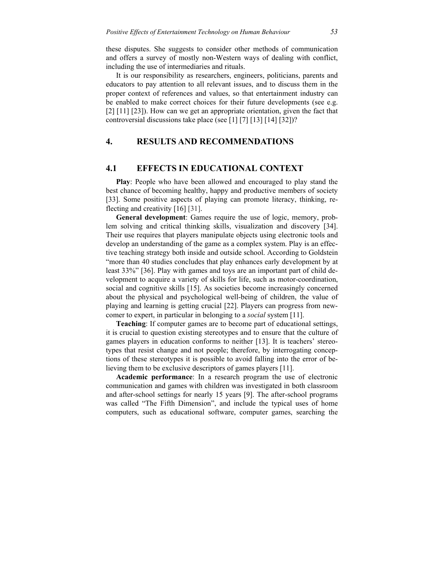these disputes. She suggests to consider other methods of communication and offers a survey of mostly non-Western ways of dealing with conflict, including the use of intermediaries and rituals.

It is our responsibility as researchers, engineers, politicians, parents and educators to pay attention to all relevant issues, and to discuss them in the proper context of references and values, so that entertainment industry can be enabled to make correct choices for their future developments (see e.g. [2] [11] [23]). How can we get an appropriate orientation, given the fact that controversial discussions take place (see [1] [7] [13] [14] [32])?

# **4. RESULTS AND RECOMMENDATIONS**

### **4.1 EFFECTS IN EDUCATIONAL CONTEXT**

**Play**: People who have been allowed and encouraged to play stand the best chance of becoming healthy, happy and productive members of society [33]. Some positive aspects of playing can promote literacy, thinking, reflecting and creativity [16] [31].

**General development**: Games require the use of logic, memory, problem solving and critical thinking skills, visualization and discovery [34]. Their use requires that players manipulate objects using electronic tools and develop an understanding of the game as a complex system. Play is an effective teaching strategy both inside and outside school. According to Goldstein "more than 40 studies concludes that play enhances early development by at least 33%" [36]. Play with games and toys are an important part of child development to acquire a variety of skills for life, such as motor-coordination, social and cognitive skills [15]. As societies become increasingly concerned about the physical and psychological well-being of children, the value of playing and learning is getting crucial [22]. Players can progress from newcomer to expert, in particular in belonging to a *social* system [11].

**Teaching**: If computer games are to become part of educational settings, it is crucial to question existing stereotypes and to ensure that the culture of games players in education conforms to neither [13]. It is teachers' stereotypes that resist change and not people; therefore, by interrogating conceptions of these stereotypes it is possible to avoid falling into the error of believing them to be exclusive descriptors of games players [11].

**Academic performance**: In a research program the use of electronic communication and games with children was investigated in both classroom and after-school settings for nearly 15 years [9]. The after-school programs was called "The Fifth Dimension", and include the typical uses of home computers, such as educational software, computer games, searching the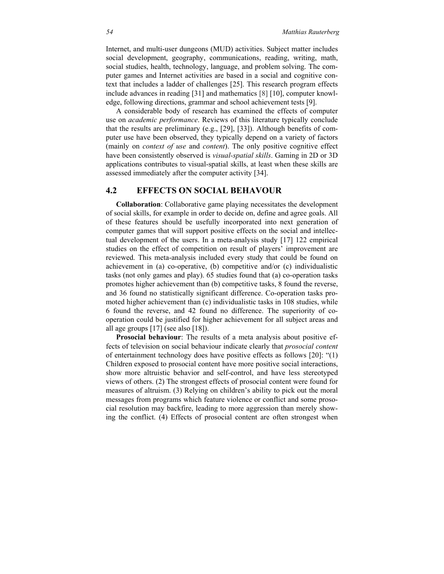Internet, and multi-user dungeons (MUD) activities. Subject matter includes social development, geography, communications, reading, writing, math, social studies, health, technology, language, and problem solving. The computer games and Internet activities are based in a social and cognitive context that includes a ladder of challenges [25]. This research program effects include advances in reading [31] and mathematics [8] [10], computer knowledge, following directions, grammar and school achievement tests [9].

A considerable body of research has examined the effects of computer use on *academic performance*. Reviews of this literature typically conclude that the results are preliminary (e.g., [29], [33]). Although benefits of computer use have been observed, they typically depend on a variety of factors (mainly on *context of use* and *content*). The only positive cognitive effect have been consistently observed is *visual-spatial skills*. Gaming in 2D or 3D applications contributes to visual-spatial skills, at least when these skills are assessed immediately after the computer activity [34].

# **4.2 EFFECTS ON SOCIAL BEHAVOUR**

**Collaboration**: Collaborative game playing necessitates the development of social skills, for example in order to decide on, define and agree goals. All of these features should be usefully incorporated into next generation of computer games that will support positive effects on the social and intellectual development of the users. In a meta-analysis study [17] 122 empirical studies on the effect of competition on result of players' improvement are reviewed. This meta-analysis included every study that could be found on achievement in (a) co-operative, (b) competitive and/or (c) individualistic tasks (not only games and play). 65 studies found that (a) co-operation tasks promotes higher achievement than (b) competitive tasks, 8 found the reverse, and 36 found no statistically significant difference. Co-operation tasks promoted higher achievement than (c) individualistic tasks in 108 studies, while 6 found the reverse, and 42 found no difference. The superiority of cooperation could be justified for higher achievement for all subject areas and all age groups [17] (see also [18]).

**Prosocial behaviour**: The results of a meta analysis about positive effects of television on social behaviour indicate clearly that *prosocial content* of entertainment technology does have positive effects as follows [20]: "(1) Children exposed to prosocial content have more positive social interactions, show more altruistic behavior and self-control, and have less stereotyped views of others. (2) The strongest effects of prosocial content were found for measures of altruism. (3) Relying on children's ability to pick out the moral messages from programs which feature violence or conflict and some prosocial resolution may backfire, leading to more aggression than merely showing the conflict. (4) Effects of prosocial content are often strongest when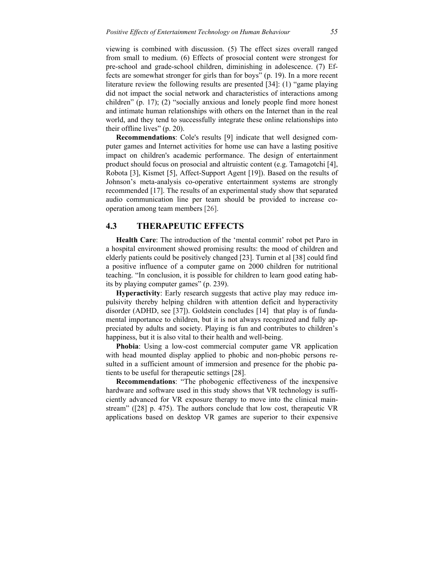viewing is combined with discussion. (5) The effect sizes overall ranged from small to medium. (6) Effects of prosocial content were strongest for pre-school and grade-school children, diminishing in adolescence. (7) Effects are somewhat stronger for girls than for boys" (p. 19). In a more recent literature review the following results are presented [34]: (1) "game playing did not impact the social network and characteristics of interactions among children" (p. 17); (2) "socially anxious and lonely people find more honest and intimate human relationships with others on the Internet than in the real world, and they tend to successfully integrate these online relationships into their offline lives" (p. 20).

**Recommendations**: Cole's results [9] indicate that well designed computer games and Internet activities for home use can have a lasting positive impact on children's academic performance. The design of entertainment product should focus on prosocial and altruistic content (e.g. Tamagotchi [4], Robota [3], Kismet [5], Affect-Support Agent [19]). Based on the results of Johnson's meta-analysis co-operative entertainment systems are strongly recommended [17]. The results of an experimental study show that separated audio communication line per team should be provided to increase cooperation among team members [26].

#### **4.3 THERAPEUTIC EFFECTS**

**Health Care**: The introduction of the 'mental commit' robot pet Paro in a hospital environment showed promising results: the mood of children and elderly patients could be positively changed [23]. Turnin et al [38] could find a positive influence of a computer game on 2000 children for nutritional teaching. "In conclusion, it is possible for children to learn good eating habits by playing computer games" (p. 239).

**Hyperactivity**: Early research suggests that active play may reduce impulsivity thereby helping children with attention deficit and hyperactivity disorder (ADHD, see [37]). Goldstein concludes [14] that play is of fundamental importance to children, but it is not always recognized and fully appreciated by adults and society. Playing is fun and contributes to children's happiness, but it is also vital to their health and well-being.

**Phobia**: Using a low-cost commercial computer game VR application with head mounted display applied to phobic and non-phobic persons resulted in a sufficient amount of immersion and presence for the phobic patients to be useful for therapeutic settings [28].

**Recommendations**: "The phobogenic effectiveness of the inexpensive hardware and software used in this study shows that VR technology is sufficiently advanced for VR exposure therapy to move into the clinical mainstream" ([28] p. 475). The authors conclude that low cost, therapeutic VR applications based on desktop VR games are superior to their expensive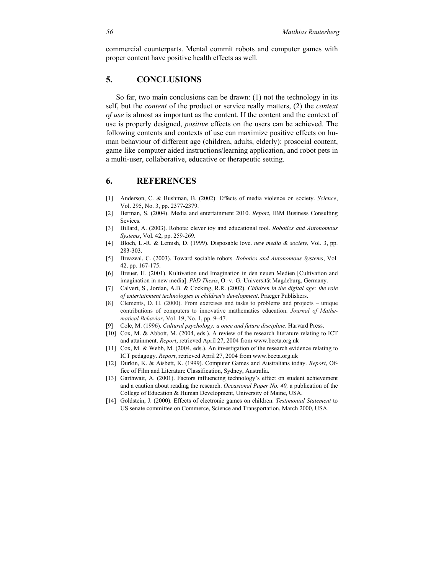commercial counterparts. Mental commit robots and computer games with proper content have positive health effects as well.

# **5. CONCLUSIONS**

So far, two main conclusions can be drawn: (1) not the technology in its self, but the *content* of the product or service really matters, (2) the *context of use* is almost as important as the content. If the content and the context of use is properly designed, *positive* effects on the users can be achieved. The following contents and contexts of use can maximize positive effects on human behaviour of different age (children, adults, elderly): prosocial content, game like computer aided instructions/learning application, and robot pets in a multi-user, collaborative, educative or therapeutic setting.

#### **6. REFERENCES**

- [1] Anderson, C. & Bushman, B. (2002). Effects of media violence on society. *Science*, Vol. 295, No. 3, pp. 2377-2379.
- [2] Berman, S. (2004). Media and entertainment 2010. *Report*, IBM Business Consulting Sevices.
- [3] Billard, A. (2003). Robota: clever toy and educational tool. *Robotics and Autonomous Systems*, Vol. 42, pp. 259-269.
- [4] Bloch, L.-R. & Lemish, D. (1999). Disposable love. *new media & society*, Vol. 3, pp. 283-303.
- [5] Breazeal, C. (2003). Toward sociable robots. *Robotics and Autonomous Systems*, Vol. 42, pp. 167-175.
- [6] Breuer, H. (2001). Kultivation und Imagination in den neuen Medien [Cultivation and imagination in new media]. *PhD Thesis*, O.-v.-G.-Universität Magdeburg, Germany.
- [7] Calvert, S., Jordan, A.B. & Cocking, R.R. (2002). *Children in the digital age: the role of entertainment technologies in children's development*. Praeger Publishers.
- [8] Clements, D. H. (2000). From exercises and tasks to problems and projects unique contributions of computers to innovative mathematics education. *Journal of Mathematical Behavior*, Vol. 19, No. 1, pp. 9–47.
- [9] Cole, M. (1996). *Cultural psychology: a once and future discipline*. Harvard Press.
- [10] Cox, M. & Abbott, M. (2004, eds.). A review of the research literature relating to ICT and attainment. *Report*, retrieved April 27, 2004 from www.becta.org.uk
- [11] Cox, M. & Webb, M. (2004, eds.). An investigation of the research evidence relating to ICT pedagogy. *Report*, retrieved April 27, 2004 from www.becta.org.uk
- [12] Durkin, K. & Aisbett, K. (1999). Computer Games and Australians today. *Report*, Office of Film and Literature Classification, Sydney, Australia.
- [13] Garthwait, A. (2001). Factors influencing technology's effect on student achievement and a caution about reading the research. *Occasional Paper No. 40,* a publication of the College of Education & Human Development, University of Maine, USA.
- [14] Goldstein, J. (2000). Effects of electronic games on children. *Testimonial Statement* to US senate committee on Commerce, Science and Transportation, March 2000, USA.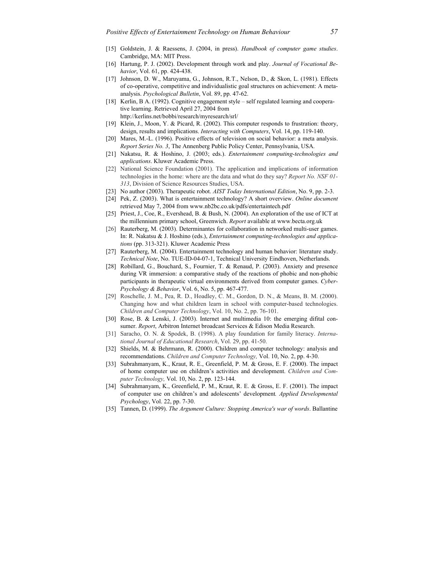- [15] Goldstein, J. & Raessens, J. (2004, in press). *Handbook of computer game studies*. Cambridge, MA: MIT Press.
- [16] Hartung, P. J. (2002). Development through work and play. *Journal of Vocational Behavior*, Vol. 61, pp. 424-438.
- [17] Johnson, D. W., Maruyama, G., Johnson, R.T., Nelson, D., & Skon, L. (1981). Effects of co-operative, competitive and individualistic goal structures on achievement: A metaanalysis. *Psychological Bulletin*, Vol. 89, pp. 47-62.
- [18] Kerlin, B A. (1992). Cognitive engagement style self regulated learning and cooperative learning. Retrieved April 27, 2004 from http://kerlins.net/bobbi/research/myresearch/srl/
- [19] Klein, J., Moon, Y. & Picard, R. (2002). This computer responds to frustration: theory, design, results and implications. *Interacting with Computers*, Vol. 14, pp. 119-140.
- [20] Mares, M.-L. (1996). Positive effects of television on social behavior: a meta analysis. *Report Series No. 3*, The Annenberg Public Policy Center, Pennsylvania, USA.
- [21] Nakatsu, R. & Hoshino, J. (2003; eds.). *Entertainment computing-technologies and applications*. Kluwer Academic Press.
- [22] National Science Foundation (2001). The application and implications of information technologies in the home: where are the data and what do they say? *Report No. NSF 01- 313*, Division of Science Resources Studies, USA.
- [23] No author (2003). Therapeutic robot. *AIST Today International Edition*, No. 9, pp. 2-3.
- [24] Pek, Z. (2003). What is entertainment technology? A short overview. *Online document* retrieved May 7, 2004 from www.nb2bc.co.uk/pdfs/entertaintech.pdf
- [25] Priest, J., Coe, R., Evershead, B. & Bush, N. (2004). An exploration of the use of ICT at the millennium primary school, Greenwich. *Report* available at www.becta.org.uk
- [26] Rauterberg, M. (2003). Determinantes for collaboration in networked multi-user games. In: R. Nakatsu & J. Hoshino (eds.), *Entertainment computing-technologies and applications* (pp. 313-321). Kluwer Academic Press
- [27] Rauterberg, M. (2004). Entertainment technology and human behavior: literature study. *Technical Note*, No. TUE-ID-04-07-1, Technical University Eindhoven, Netherlands.
- [28] Robillard, G., Bouchard, S., Fournier, T. & Renaud, P. (2003). Anxiety and presence during VR immersion: a comparative study of the reactions of phobic and non-phobic participants in therapeutic virtual environments derived from computer games. *Cyber-Psychology & Behavior*, Vol. 6, No. 5, pp. 467-477.
- [29] Roschelle, J. M., Pea, R. D., Hoadley, C. M., Gordon, D. N., & Means, B. M. (2000). Changing how and what children learn in school with computer-based technologies. *Children and Computer Technology*, Vol. 10, No. 2, pp. 76-101.
- [30] Rose, B. & Lenski, J. (2003). Internet and multimedia 10: the emerging difital consumer. *Report*, Arbitron Internet broadcast Services & Edison Media Research.
- [31] Saracho, O. N. & Spodek, B. (1998). A play foundation for family literacy. *International Journal of Educational Research*, Vol. 29, pp. 41-50.
- [32] Shields, M. & Behrmann, R. (2000). Children and computer technology: analysis and recommendations. *Children and Computer Technology,* Vol. 10, No. 2, pp. 4-30.
- [33] Subrahmanyam, K., Kraut, R. E., Greenfield, P. M. & Gross, E. F. (2000). The impact of home computer use on children's activities and development. *Children and Computer Technology,* Vol. 10, No. 2, pp. 123-144.
- [34] Subrahmanyam, K., Greenfield, P. M., Kraut, R. E. & Gross, E. F. (2001). The impact of computer use on children's and adolescents' development*. Applied Developmental Psychology*, Vol. 22, pp. 7-30.
- [35] Tannen, D. (1999). *The Argument Culture: Stopping America's war of words*. Ballantine